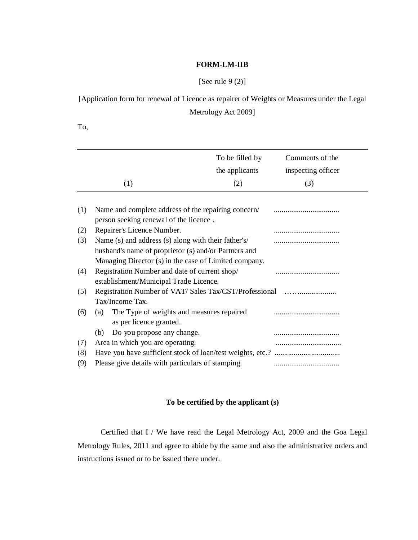## **FORM-LM-IIB**

## [See rule 9 (2)]

## [Application form for renewal of Licence as repairer of Weights or Measures under the Legal Metrology Act 2009]

To,

|     |                                                       | To be filled by | Comments of the    |
|-----|-------------------------------------------------------|-----------------|--------------------|
|     |                                                       | the applicants  | inspecting officer |
|     | (1)                                                   | (2)             | (3)                |
|     |                                                       |                 |                    |
| (1) | Name and complete address of the repairing concern/   |                 |                    |
|     | person seeking renewal of the licence.                |                 |                    |
| (2) | Repairer's Licence Number.                            |                 |                    |
| (3) | Name (s) and address (s) along with their father's/   |                 |                    |
|     | husband's name of proprietor (s) and/or Partners and  |                 |                    |
|     | Managing Director (s) in the case of Limited company. |                 |                    |
| (4) | Registration Number and date of current shop/         |                 |                    |
|     | establishment/Municipal Trade Licence.                |                 |                    |
| (5) | Registration Number of VAT/Sales Tax/CST/Professional |                 |                    |
|     | Tax/Income Tax.                                       |                 |                    |
| (6) | The Type of weights and measures repaired<br>(a)      |                 |                    |
|     | as per licence granted.                               |                 |                    |
|     | Do you propose any change.<br>(b)                     |                 |                    |
| (7) | Area in which you are operating.                      |                 |                    |
| (8) |                                                       |                 |                    |
|     |                                                       |                 |                    |
| (9) | Please give details with particulars of stamping.     |                 |                    |

## **To be certified by the applicant (s)**

Certified that I / We have read the Legal Metrology Act, 2009 and the Goa Legal Metrology Rules, 2011 and agree to abide by the same and also the administrative orders and instructions issued or to be issued there under.